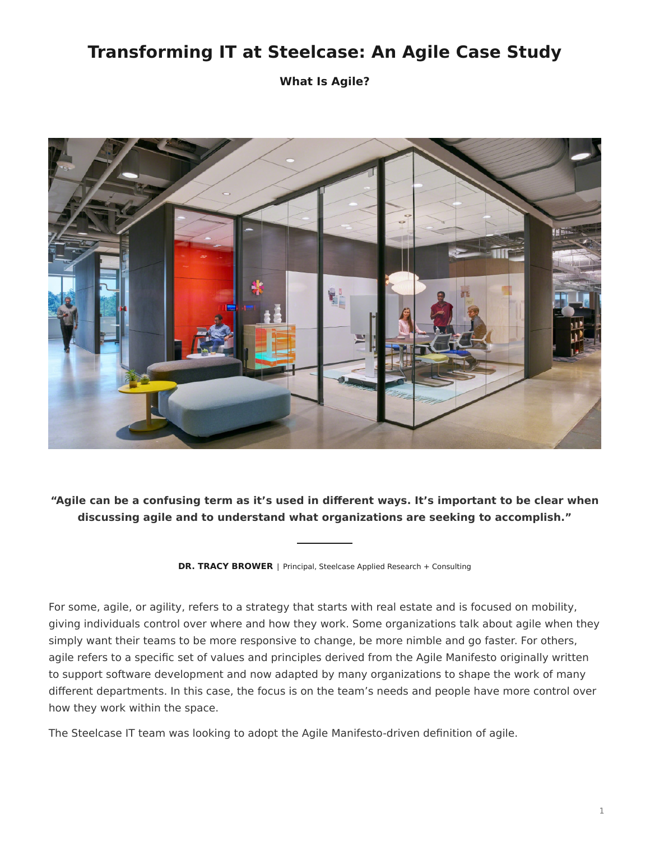## **Transforming IT at Steelcase: An Agile Case Study**

**What Is Agile?**



**"Agile can be a confusing term as it's used in different ways. It's important to be clear when discussing agile and to understand what organizations are seeking to accomplish."**

**DR. TRACY BROWER** | Principal, Steelcase Applied Research + Consulting

For some, agile, or agility, refers to a strategy that starts with real estate and is focused on mobility, giving individuals control over where and how they work. Some organizations talk about agile when they simply want their teams to be more responsive to change, be more nimble and go faster. For others, agile refers to a specific set of values and principles derived from the Agile Manifesto originally written to support software development and now adapted by many organizations to shape the work of many different departments. In this case, the focus is on the team's needs and people have more control over how they work within the space.

The Steelcase IT team was looking to adopt the Agile Manifesto-driven definition of agile.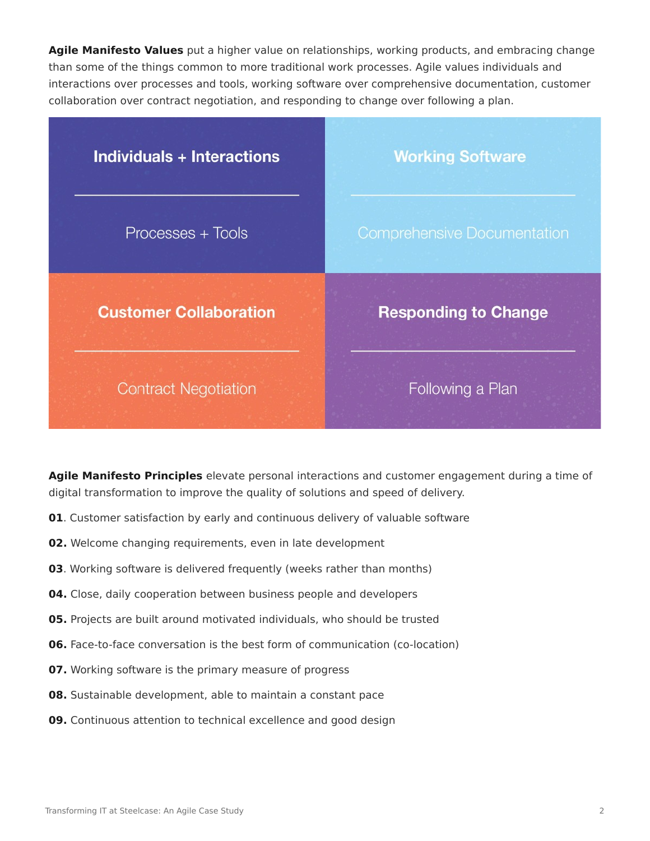**Agile Manifesto Values** put a higher value on relationships, working products, and embracing change than some of the things common to more traditional work processes. Agile values individuals and interactions over processes and tools, working software over comprehensive documentation, customer collaboration over contract negotiation, and responding to change over following a plan.

| <b>Individuals + Interactions</b> | <b>Working Software</b>            |
|-----------------------------------|------------------------------------|
| Processes + Tools                 | <b>Comprehensive Documentation</b> |
| <b>Customer Collaboration</b>     | <b>Responding to Change</b>        |
| <b>Contract Negotiation</b>       | Following a Plan                   |

**Agile Manifesto Principles** elevate personal interactions and customer engagement during a time of digital transformation to improve the quality of solutions and speed of delivery.

- **01**. Customer satisfaction by early and continuous delivery of valuable software
- **02.** Welcome changing requirements, even in late development
- **03**. Working software is delivered frequently (weeks rather than months)
- **04.** Close, daily cooperation between business people and developers
- **05.** Projects are built around motivated individuals, who should be trusted
- **06.** Face-to-face conversation is the best form of communication (co-location)
- **07.** Working software is the primary measure of progress
- **08.** Sustainable development, able to maintain a constant pace
- **09.** Continuous attention to technical excellence and good design